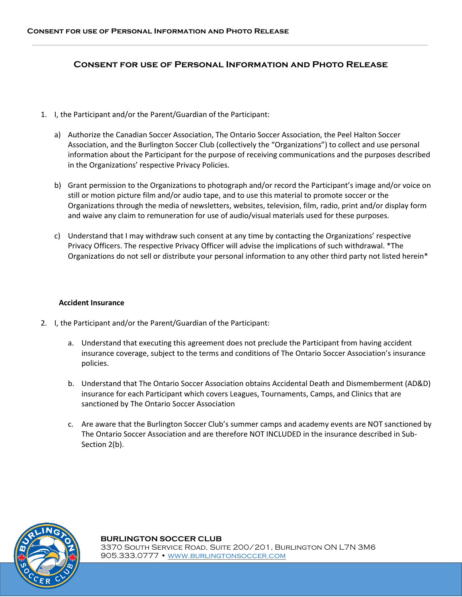## **Consent for use of Personal Information and Photo Release**

- 1. I, the Participant and/or the Parent/Guardian of the Participant:
	- a) Authorize the Canadian Soccer Association, The Ontario Soccer Association, the Peel Halton Soccer Association, and the Burlington Soccer Club (collectively the "Organizations") to collect and use personal information about the Participant for the purpose of receiving communications and the purposes described in the Organizations' respective Privacy Policies.
	- b) Grant permission to the Organizations to photograph and/or record the Participant's image and/or voice on still or motion picture film and/or audio tape, and to use this material to promote soccer or the Organizations through the media of newsletters, websites, television, film, radio, print and/or display form and waive any claim to remuneration for use of audio/visual materials used for these purposes.
	- c) Understand that I may withdraw such consent at any time by contacting the Organizations' respective Privacy Officers. The respective Privacy Officer will advise the implications of such withdrawal. \*The Organizations do not sell or distribute your personal information to any other third party not listed herein\*

## **Accident Insurance**

- 2. I, the Participant and/or the Parent/Guardian of the Participant:
	- a. Understand that executing this agreement does not preclude the Participant from having accident insurance coverage, subject to the terms and conditions of The Ontario Soccer Association's insurance policies.
	- b. Understand that The Ontario Soccer Association obtains Accidental Death and Dismemberment (AD&D) insurance for each Participant which covers Leagues, Tournaments, Camps, and Clinics that are sanctioned by The Ontario Soccer Association
	- c. Are aware that the Burlington Soccer Club's summer camps and academy events are NOT sanctioned by The Ontario Soccer Association and are therefore NOT INCLUDED in the insurance described in Sub-Section 2(b).